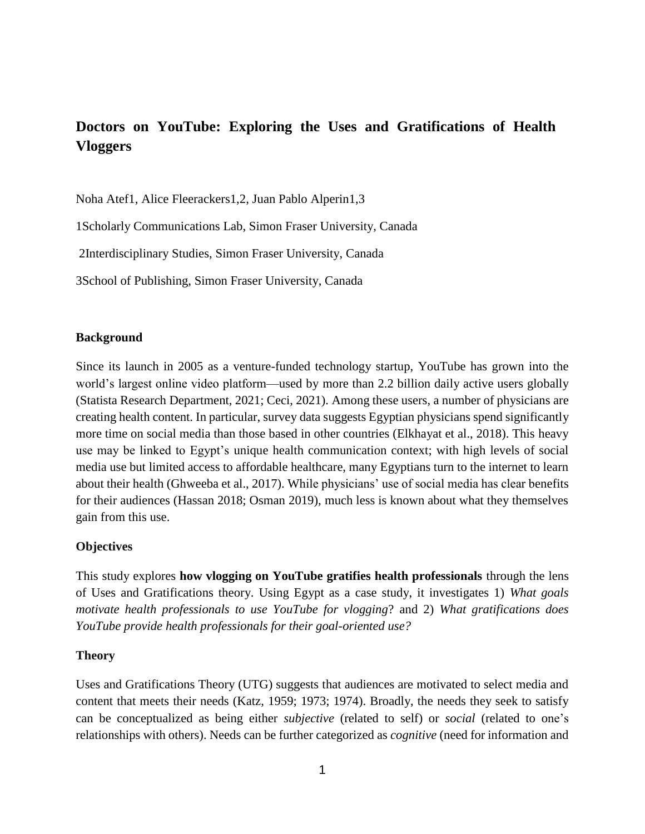# **Doctors on YouTube: Exploring the Uses and Gratifications of Health Vloggers**

Noha Atef1, Alice Fleerackers1,2, Juan Pablo Alperin1,3

1Scholarly Communications Lab, Simon Fraser University, Canada

2Interdisciplinary Studies, Simon Fraser University, Canada

3School of Publishing, Simon Fraser University, Canada

#### **Background**

Since its launch in 2005 as a venture-funded technology startup, YouTube has grown into the world's largest online video platform—used by more than 2.2 billion daily active users globally (Statista Research Department, 2021; Ceci, 2021). Among these users, a number of physicians are creating health content. In particular, survey data suggests Egyptian physicians spend significantly more time on social media than those based in other countries (Elkhayat et al., 2018). This heavy use may be linked to Egypt's unique health communication context; with high levels of social media use but limited access to affordable healthcare, many Egyptians turn to the internet to learn about their health (Ghweeba et al., 2017). While physicians' use of social media has clear benefits for their audiences (Hassan 2018; Osman 2019), much less is known about what they themselves gain from this use.

#### **Objectives**

This study explores **how vlogging on YouTube gratifies health professionals** through the lens of Uses and Gratifications theory. Using Egypt as a case study, it investigates 1) *What goals motivate health professionals to use YouTube for vlogging*? and 2) *What gratifications does YouTube provide health professionals for their goal-oriented use?*

#### **Theory**

Uses and Gratifications Theory (UTG) suggests that audiences are motivated to select media and content that meets their needs (Katz, 1959; 1973; 1974). Broadly, the needs they seek to satisfy can be conceptualized as being either *subjective* (related to self) or *social* (related to one's relationships with others). Needs can be further categorized as *cognitive* (need for information and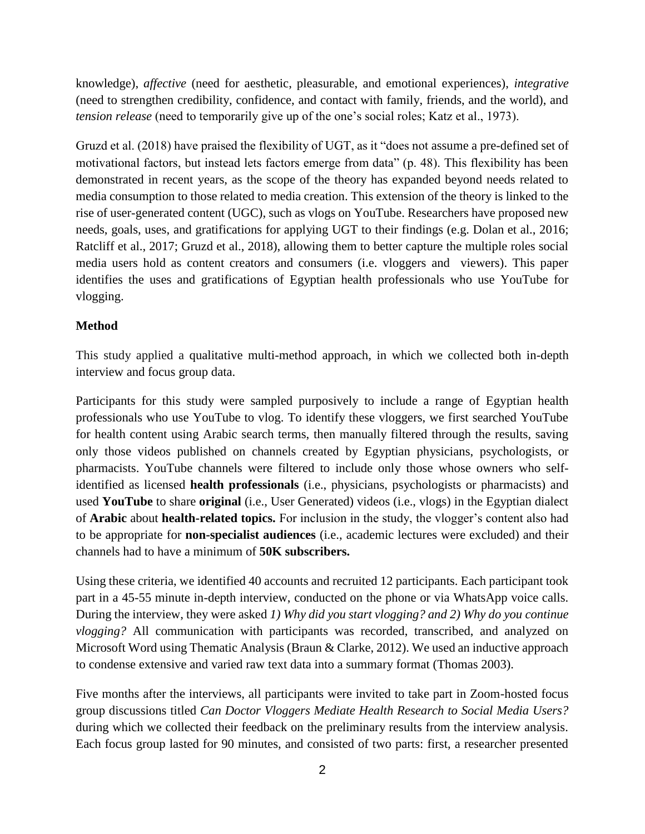knowledge), *affective* (need for aesthetic, pleasurable, and emotional experiences), *integrative*  (need to strengthen credibility, confidence, and contact with family, friends, and the world), and *tension release* (need to temporarily give up of the one's social roles; Katz et al., 1973).

Gruzd et al. (2018) have praised the flexibility of UGT, as it "does not assume a pre-defined set of motivational factors, but instead lets factors emerge from data" (p. 48). This flexibility has been demonstrated in recent years, as the scope of the theory has expanded beyond needs related to media consumption to those related to media creation. This extension of the theory is linked to the rise of user-generated content (UGC), such as vlogs on YouTube. Researchers have proposed new needs, goals, uses, and gratifications for applying UGT to their findings (e.g. Dolan et al., 2016; Ratcliff et al., 2017; Gruzd et al., 2018), allowing them to better capture the multiple roles social media users hold as content creators and consumers (i.e. vloggers and viewers). This paper identifies the uses and gratifications of Egyptian health professionals who use YouTube for vlogging.

### **Method**

This study applied a qualitative multi-method approach, in which we collected both in-depth interview and focus group data.

Participants for this study were sampled purposively to include a range of Egyptian health professionals who use YouTube to vlog. To identify these vloggers, we first searched YouTube for health content using Arabic search terms, then manually filtered through the results, saving only those videos published on channels created by Egyptian physicians, psychologists, or pharmacists. YouTube channels were filtered to include only those whose owners who selfidentified as licensed **health professionals** (i.e., physicians, psychologists or pharmacists) and used **YouTube** to share **original** (i.e., User Generated) videos (i.e., vlogs) in the Egyptian dialect of **Arabic** about **health-related topics.** For inclusion in the study, the vlogger's content also had to be appropriate for **non-specialist audiences** (i.e., academic lectures were excluded) and their channels had to have a minimum of **50K subscribers.** 

Using these criteria, we identified 40 accounts and recruited 12 participants. Each participant took part in a 45-55 minute in-depth interview, conducted on the phone or via WhatsApp voice calls. During the interview, they were asked *1) Why did you start vlogging? and 2) Why do you continue vlogging?* All communication with participants was recorded, transcribed, and analyzed on Microsoft Word using Thematic Analysis (Braun & Clarke, 2012). We used an inductive approach to condense extensive and varied raw text data into a summary format (Thomas 2003).

Five months after the interviews, all participants were invited to take part in Zoom-hosted focus group discussions titled *Can Doctor Vloggers Mediate Health Research to Social Media Users?*  during which we collected their feedback on the preliminary results from the interview analysis. Each focus group lasted for 90 minutes, and consisted of two parts: first, a researcher presented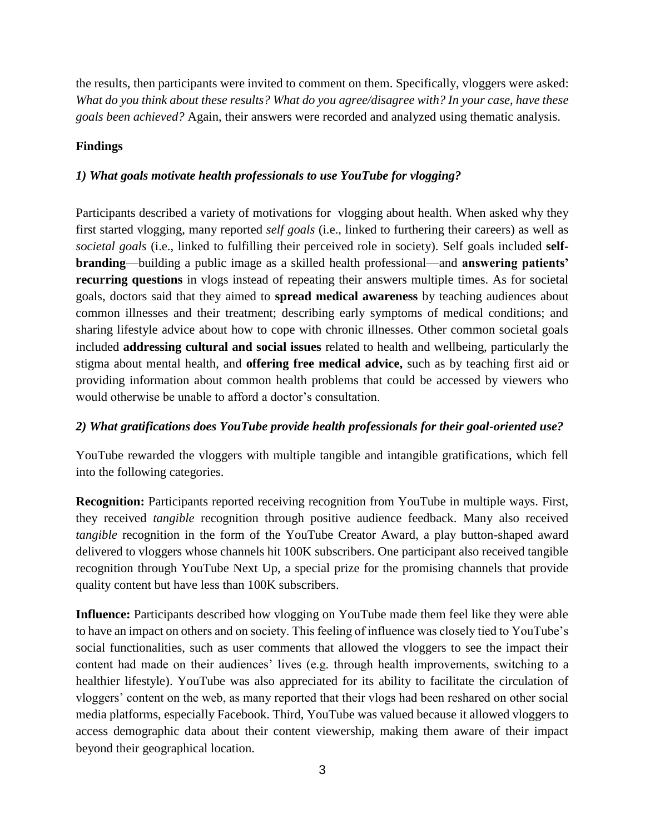the results, then participants were invited to comment on them. Specifically, vloggers were asked: *What do you think about these results? What do you agree/disagree with? In your case, have these goals been achieved?* Again, their answers were recorded and analyzed using thematic analysis.

# **Findings**

# *1) What goals motivate health professionals to use YouTube for vlogging?*

Participants described a variety of motivations for vlogging about health. When asked why they first started vlogging, many reported *self goals* (i.e., linked to furthering their careers) as well as *societal goals* (i.e., linked to fulfilling their perceived role in society). Self goals included **selfbranding**—building a public image as a skilled health professional—and **answering patients' recurring questions** in vlogs instead of repeating their answers multiple times. As for societal goals, doctors said that they aimed to **spread medical awareness** by teaching audiences about common illnesses and their treatment; describing early symptoms of medical conditions; and sharing lifestyle advice about how to cope with chronic illnesses. Other common societal goals included **addressing cultural and social issues** related to health and wellbeing, particularly the stigma about mental health, and **offering free medical advice,** such as by teaching first aid or providing information about common health problems that could be accessed by viewers who would otherwise be unable to afford a doctor's consultation.

### *2) What gratifications does YouTube provide health professionals for their goal-oriented use?*

YouTube rewarded the vloggers with multiple tangible and intangible gratifications, which fell into the following categories.

**Recognition:** Participants reported receiving recognition from YouTube in multiple ways. First, they received *tangible* recognition through positive audience feedback. Many also received *tangible* recognition in the form of the YouTube Creator Award, a play button-shaped award delivered to vloggers whose channels hit 100K subscribers. One participant also received tangible recognition through YouTube Next Up, a special prize for the promising channels that provide quality content but have less than 100K subscribers.

**Influence:** Participants described how vlogging on YouTube made them feel like they were able to have an impact on others and on society. This feeling of influence was closely tied to YouTube's social functionalities, such as user comments that allowed the vloggers to see the impact their content had made on their audiences' lives (e.g. through health improvements, switching to a healthier lifestyle). YouTube was also appreciated for its ability to facilitate the circulation of vloggers' content on the web, as many reported that their vlogs had been reshared on other social media platforms, especially Facebook. Third, YouTube was valued because it allowed vloggers to access demographic data about their content viewership, making them aware of their impact beyond their geographical location.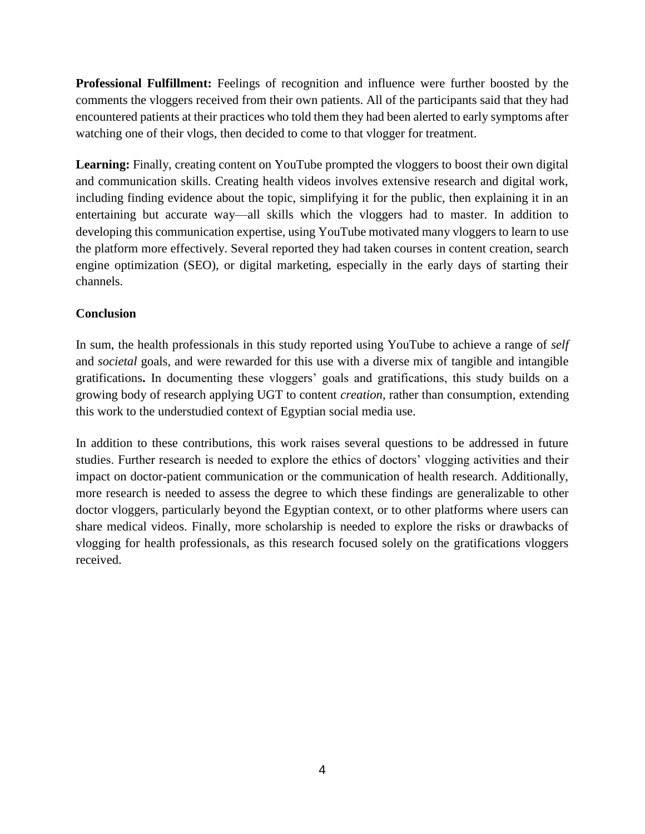**Professional Fulfillment:** Feelings of recognition and influence were further boosted by the comments the vloggers received from their own patients. All of the participants said that they had encountered patients at their practices who told them they had been alerted to early symptoms after watching one of their vlogs, then decided to come to that vlogger for treatment.

Learning: Finally, creating content on YouTube prompted the vloggers to boost their own digital and communication skills. Creating health videos involves extensive research and digital work, including finding evidence about the topic, simplifying it for the public, then explaining it in an entertaining but accurate way—all skills which the vloggers had to master. In addition to developing this communication expertise, using YouTube motivated many vloggers to learn to use the platform more effectively. Several reported they had taken courses in content creation, search engine optimization (SEO), or digital marketing, especially in the early days of starting their channels.

# **Conclusion**

In sum, the health professionals in this study reported using YouTube to achieve a range of *self* and *societal* goals, and were rewarded for this use with a diverse mix of tangible and intangible gratifications**.** In documenting these vloggers' goals and gratifications, this study builds on a growing body of research applying UGT to content *creation,* rather than consumption, extending this work to the understudied context of Egyptian social media use.

In addition to these contributions, this work raises several questions to be addressed in future studies. Further research is needed to explore the ethics of doctors' vlogging activities and their impact on doctor-patient communication or the communication of health research. Additionally, more research is needed to assess the degree to which these findings are generalizable to other doctor vloggers, particularly beyond the Egyptian context, or to other platforms where users can share medical videos. Finally, more scholarship is needed to explore the risks or drawbacks of vlogging for health professionals, as this research focused solely on the gratifications vloggers received.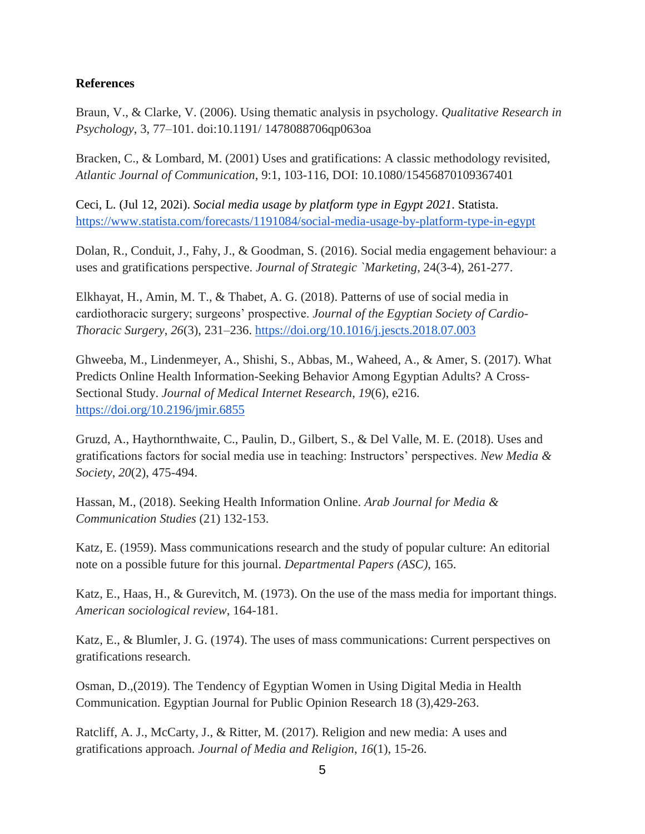#### **References**

Braun, V., & Clarke, V. (2006). Using thematic analysis in psychology. *Qualitative Research in Psychology*, 3, 77–101. doi:10.1191/ 1478088706qp063oa

Bracken, C., & Lombard, M. (2001) Uses and gratifications: A classic methodology revisited, *Atlantic Journal of Communication*, 9:1, 103-116, DOI: 10.1080/15456870109367401

Ceci, L. (Jul 12, 202i). *Social media usage by platform type in Egypt 2021*. Statista[.](https://www.statista.com/forecasts/1191084/social-media-usage-by-platform-type-in-egypt) <https://www.statista.com/forecasts/1191084/social-media-usage-by-platform-type-in-egypt>

Dolan, R., Conduit, J., Fahy, J., & Goodman, S. (2016). Social media engagement behaviour: a uses and gratifications perspective. *Journal of Strategic `Marketing*, 24(3-4), 261-277.

Elkhayat, H., Amin, M. T., & Thabet, A. G. (2018). Patterns of use of social media in cardiothoracic surgery; surgeons' prospective. *Journal of the Egyptian Society of Cardio-Thoracic Surgery*, *26*(3), 231–236. <https://doi.org/10.1016/j.jescts.2018.07.003>

Ghweeba, M., Lindenmeyer, A., Shishi, S., Abbas, M., Waheed, A., & Amer, S. (2017). What Predicts Online Health Information-Seeking Behavior Among Egyptian Adults? A Cross-Sectional Study. *Journal of Medical Internet Research*, *19*(6), e216[.](https://doi.org/10.2196/jmir.6855) <https://doi.org/10.2196/jmir.6855>

Gruzd, A., Haythornthwaite, C., Paulin, D., Gilbert, S., & Del Valle, M. E. (2018). Uses and gratifications factors for social media use in teaching: Instructors' perspectives. *New Media & Society*, *20*(2), 475-494.

Hassan, M., (2018). Seeking Health Information Online. *Arab Journal for Media & Communication Studies* (21) 132-153.

Katz, E. (1959). Mass communications research and the study of popular culture: An editorial note on a possible future for this journal. *Departmental Papers (ASC)*, 165.

Katz, E., Haas, H., & Gurevitch, M. (1973). On the use of the mass media for important things. *American sociological review*, 164-181.

Katz, E., & Blumler, J. G. (1974). The uses of mass communications: Current perspectives on gratifications research.

Osman, D.,(2019). The Tendency of Egyptian Women in Using Digital Media in Health Communication. Egyptian Journal for Public Opinion Research 18 (3),429-263.

Ratcliff, A. J., McCarty, J., & Ritter, M. (2017). Religion and new media: A uses and gratifications approach. *Journal of Media and Religion*, *16*(1), 15-26.